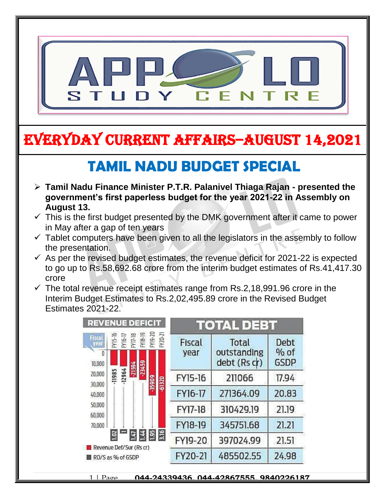

## EVERYDAY CURRENT AFFAIRS–AUGUST 14,2021

## **TAMIL NADU BUDGET SPECIAL**

-

- **Tamil Nadu Finance Minister P.T.R. Palanivel Thiaga Rajan - presented the government's first paperless budget for the year 2021-22 in Assembly on August 13.**
- $\checkmark$  This is the first budget presented by the DMK government after it came to power in May after a gap of ten years
- $\checkmark$  Tablet computers have been given to all the legislators in the assembly to follow the presentation.
- $\checkmark$  As per the revised budget estimates, the revenue deficit for 2021-22 is expected to go up to Rs.58,692.68 crore from the interim budget estimates of Rs.41,417.30 crore
- $\checkmark$  The total revenue receipt estimates range from Rs.2,18,991.96 crore in the Interim Budget Estimates to Rs.2,02,495.89 crore in the Revised Budget Estimates 2021-22.



1 | Page **044-24339436, 044-42867555, 9840226187**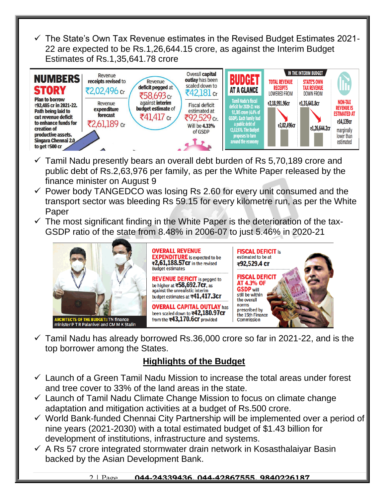$\checkmark$  The State's Own Tax Revenue estimates in the Revised Budget Estimates 2021-22 are expected to be Rs.1,26,644.15 crore, as against the Interim Budget Estimates of Rs.1,35,641.78 crore



- $\checkmark$  Tamil Nadu presently bears an overall debt burden of Rs 5,70,189 crore and public debt of Rs.2,63,976 per family, as per the White Paper released by the finance minister on August 9
- $\checkmark$  Power body TANGEDCO was losing Rs 2.60 for every unit consumed and the transport sector was bleeding Rs 59.15 for every kilometre run, as per the White Paper
- $\checkmark$  The most significant finding in the White Paper is the deterioration of the tax-GSDP ratio of the state from 8.48% in 2006-07 to just 5.46% in 2020-21



 $\checkmark$  Tamil Nadu has already borrowed Rs.36,000 crore so far in 2021-22, and is the top borrower among the States.

## **Highlights of the Budget**

- $\checkmark$  Launch of a Green Tamil Nadu Mission to increase the total areas under forest and tree cover to 33% of the land areas in the state.
- $\checkmark$  Launch of Tamil Nadu Climate Change Mission to focus on climate change adaptation and mitigation activities at a budget of Rs.500 crore.
- $\checkmark$  World Bank-funded Chennai City Partnership will be implemented over a period of nine years (2021-2030) with a total estimated budget of \$1.43 billion for development of institutions, infrastructure and systems.
- $\checkmark$  A Rs 57 crore integrated stormwater drain network in Kosasthalaiyar Basin backed by the Asian Development Bank.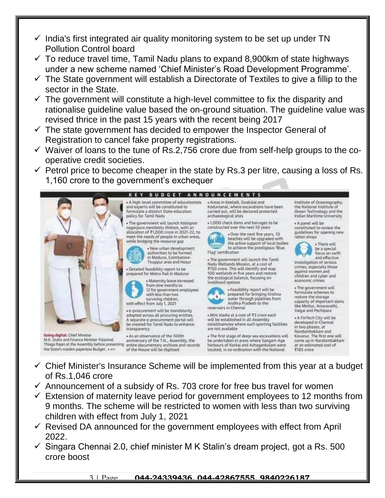- $\checkmark$  India's first integrated air quality monitoring system to be set up under TN Pollution Control board
- $\checkmark$  To reduce travel time, Tamil Nadu plans to expand 8,900km of state highways under a new scheme named 'Chief Minister's Road Development Programme'.
- $\checkmark$  The State government will establish a Directorate of Textiles to give a fillip to the sector in the State.
- $\checkmark$  The government will constitute a high-level committee to fix the disparity and rationalise guideline value based the on-ground situation. The guideline value was revised thrice in the past 15 years with the recent being 2017
- $\checkmark$  The state government has decided to empower the Inspector General of Registration to cancel fake property registrations.
- $\checkmark$  Waiver of loans to the tune of Rs.2,756 crore due from self-help groups to the cooperative credit societies.
- $\checkmark$  Petrol price to become cheaper in the state by Rs.3 per litre, causing a loss of Rs. 1,160 crore to the government's exchequer



- $\checkmark$  Chief Minister's Insurance Scheme will be implemented from this year at a budget of Rs.1,046 crore
- $\checkmark$  Announcement of a subsidy of Rs. 703 crore for free bus travel for women
- $\checkmark$  Extension of maternity leave period for government employees to 12 months from 9 months. The scheme will be restricted to women with less than two surviving children with effect from July 1, 2021
- $\checkmark$  Revised DA announced for the government employees with effect from April 2022.
- $\checkmark$  Singara Chennai 2.0, chief minister M K Stalin's dream project, got a Rs. 500 crore boost

## 3 | Page **044-24339436, 044-42867555, 9840226187**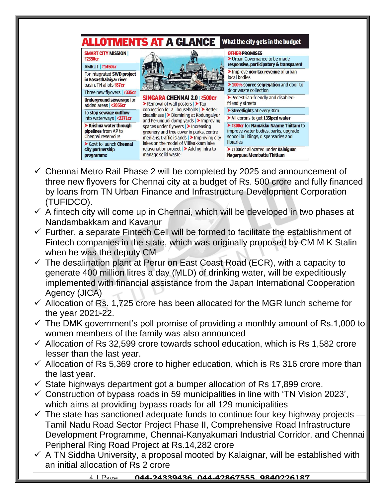

- $\checkmark$  Chennai Metro Rail Phase 2 will be completed by 2025 and announcement of three new flyovers for Chennai city at a budget of Rs. 500 crore and fully financed by loans from TN Urban Finance and Infrastructure Development Corporation (TUFIDCO).
- $\checkmark$  A fintech city will come up in Chennai, which will be developed in two phases at Nandambakkam and Kavanur
- $\checkmark$  Further, a separate Fintech Cell will be formed to facilitate the establishment of Fintech companies in the state, which was originally proposed by CM M K Stalin when he was the deputy CM
- $\checkmark$  The desalination plant at Perur on East Coast Road (ECR), with a capacity to generate 400 million litres a day (MLD) of drinking water, will be expeditiously implemented with financial assistance from the Japan International Cooperation Agency (JICA)
- $\checkmark$  Allocation of Rs. 1,725 crore has been allocated for the MGR lunch scheme for the year 2021-22.
- $\checkmark$  The DMK government's poll promise of providing a monthly amount of Rs.1,000 to women members of the family was also announced
- $\checkmark$  Allocation of Rs 32,599 crore towards school education, which is Rs 1,582 crore lesser than the last year.
- $\checkmark$  Allocation of Rs 5,369 crore to higher education, which is Rs 316 crore more than the last year.
- $\checkmark$  State highways department got a bumper allocation of Rs 17,899 crore.
- $\checkmark$  Construction of bypass roads in 59 municipalities in line with 'TN Vision 2023', which aims at providing bypass roads for all 129 municipalities
- $\checkmark$  The state has sanctioned adequate funds to continue four key highway projects Tamil Nadu Road Sector Project Phase II, Comprehensive Road Infrastructure Development Programme, Chennai-Kanyakumari Industrial Corridor, and Chennai Peripheral Ring Road Project at Rs.14,282 crore
- $\checkmark$  A TN Siddha University, a proposal mooted by Kalaignar, will be established with an initial allocation of Rs 2 crore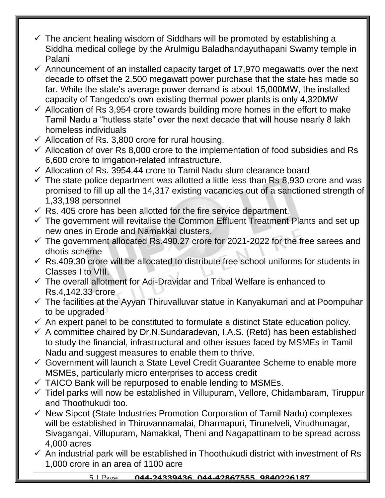- $\checkmark$  The ancient healing wisdom of Siddhars will be promoted by establishing a Siddha medical college by the Arulmigu Baladhandayuthapani Swamy temple in Palani
- $\checkmark$  Announcement of an installed capacity target of 17,970 megawatts over the next decade to offset the 2,500 megawatt power purchase that the state has made so far. While the state's average power demand is about 15,000MW, the installed capacity of Tangedco's own existing thermal power plants is only 4,320MW
- $\checkmark$  Allocation of Rs 3,954 crore towards building more homes in the effort to make Tamil Nadu a "hutless state" over the next decade that will house nearly 8 lakh homeless individuals
- $\checkmark$  Allocation of Rs. 3,800 crore for rural housing.
- $\checkmark$  Allocation of over Rs 8,000 crore to the implementation of food subsidies and Rs 6,600 crore to irrigation-related infrastructure.
- $\checkmark$  Allocation of Rs. 3954.44 crore to Tamil Nadu slum clearance board
- $\checkmark$  The state police department was allotted a little less than Rs 8.930 crore and was promised to fill up all the 14,317 existing vacancies out of a sanctioned strength of 1,33,198 personnel
- $\checkmark$  Rs. 405 crore has been allotted for the fire service department.
- $\checkmark$  The government will revitalise the Common Effluent Treatment Plants and set up new ones in Erode and Namakkal clusters.
- $\checkmark$  The government allocated Rs.490.27 crore for 2021-2022 for the free sarees and dhotis scheme
- $\checkmark$  Rs.409.30 crore will be allocated to distribute free school uniforms for students in Classes I to VIII.
- $\checkmark$  The overall allotment for Adi-Dravidar and Tribal Welfare is enhanced to Rs.4,142.33 crore
- $\checkmark$  The facilities at the Ayyan Thiruvalluvar statue in Kanyakumari and at Poompuhar to be upgraded
- $\checkmark$  An expert panel to be constituted to formulate a distinct State education policy.
- $\checkmark$  A committee chaired by Dr.N.Sundaradevan, I.A.S. (Retd) has been established to study the financial, infrastructural and other issues faced by MSMEs in Tamil Nadu and suggest measures to enable them to thrive.
- $\checkmark$  Government will launch a State Level Credit Guarantee Scheme to enable more MSMEs, particularly micro enterprises to access credit
- $\checkmark$  TAICO Bank will be repurposed to enable lending to MSMEs.
- $\checkmark$  Tidel parks will now be established in Villupuram, Vellore, Chidambaram, Tiruppur and Thoothukudi too.
- $\checkmark$  New Sipcot (State Industries Promotion Corporation of Tamil Nadu) complexes will be established in Thiruvannamalai, Dharmapuri, Tirunelveli, Virudhunagar, Sivagangai, Villupuram, Namakkal, Theni and Nagapattinam to be spread across 4,000 acres
- $\checkmark$  An industrial park will be established in Thoothukudi district with investment of Rs 1,000 crore in an area of 1100 acre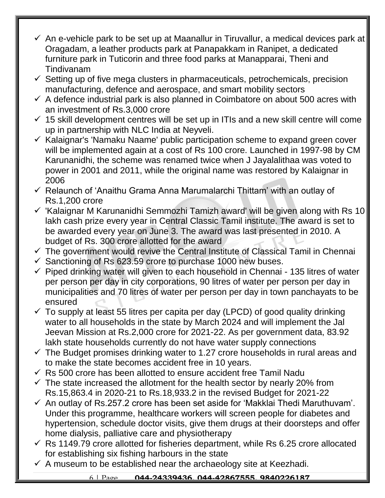- $\checkmark$  An e-vehicle park to be set up at Maanallur in Tiruvallur, a medical devices park at Oragadam, a leather products park at Panapakkam in Ranipet, a dedicated furniture park in Tuticorin and three food parks at Manapparai, Theni and Tindivanam
- $\checkmark$  Setting up of five mega clusters in pharmaceuticals, petrochemicals, precision manufacturing, defence and aerospace, and smart mobility sectors
- $\checkmark$  A defence industrial park is also planned in Coimbatore on about 500 acres with an investment of Rs.3,000 crore
- $\checkmark$  15 skill development centres will be set up in ITIs and a new skill centre will come up in partnership with NLC India at Neyveli.
- $\checkmark$  Kalaignar's 'Namaku Naame' public participation scheme to expand green cover will be implemented again at a cost of Rs 100 crore. Launched in 1997-98 by CM Karunanidhi, the scheme was renamed twice when J Jayalalithaa was voted to power in 2001 and 2011, while the original name was restored by Kalaignar in 2006
- $\checkmark$  Relaunch of 'Anaithu Grama Anna Marumalarchi Thittam' with an outlay of Rs.1,200 crore
- $\checkmark$  'Kalaignar M Karunanidhi Semmozhi Tamizh award' will be given along with Rs 10 lakh cash prize every year in Central Classic Tamil institute. The award is set to be awarded every year on June 3. The award was last presented in 2010. A budget of Rs. 300 crore allotted for the award
- $\checkmark$  The government would revive the Central Institute of Classical Tamil in Chennai
- $\checkmark$  Sanctioning of Rs 623.59 crore to purchase 1000 new buses.
- $\checkmark$  Piped drinking water will given to each household in Chennai 135 litres of water per person per day in city corporations, 90 litres of water per person per day in municipalities and 70 litres of water per person per day in town panchayats to be ensured
- $\checkmark$  To supply at least 55 litres per capita per day (LPCD) of good quality drinking water to all households in the state by March 2024 and will implement the Jal Jeevan Mission at Rs.2,000 crore for 2021-22. As per government data, 83.92 lakh state households currently do not have water supply connections
- $\checkmark$  The Budget promises drinking water to 1.27 crore households in rural areas and to make the state becomes accident free in 10 years.
- $\checkmark$  Rs 500 crore has been allotted to ensure accident free Tamil Nadu
- $\checkmark$  The state increased the allotment for the health sector by nearly 20% from Rs.15,863.4 in 2020-21 to Rs.18,933.2 in the revised Budget for 2021-22
- $\checkmark$  An outlay of Rs.257.2 crore has been set aside for 'Makklai Thedi Maruthuvam'. Under this programme, healthcare workers will screen people for diabetes and hypertension, schedule doctor visits, give them drugs at their doorsteps and offer home dialysis, palliative care and physiotherapy
- $\checkmark$  Rs 1149.79 crore allotted for fisheries department, while Rs 6.25 crore allocated for establishing six fishing harbours in the state
- $\checkmark$  A museum to be established near the archaeology site at Keezhadi.